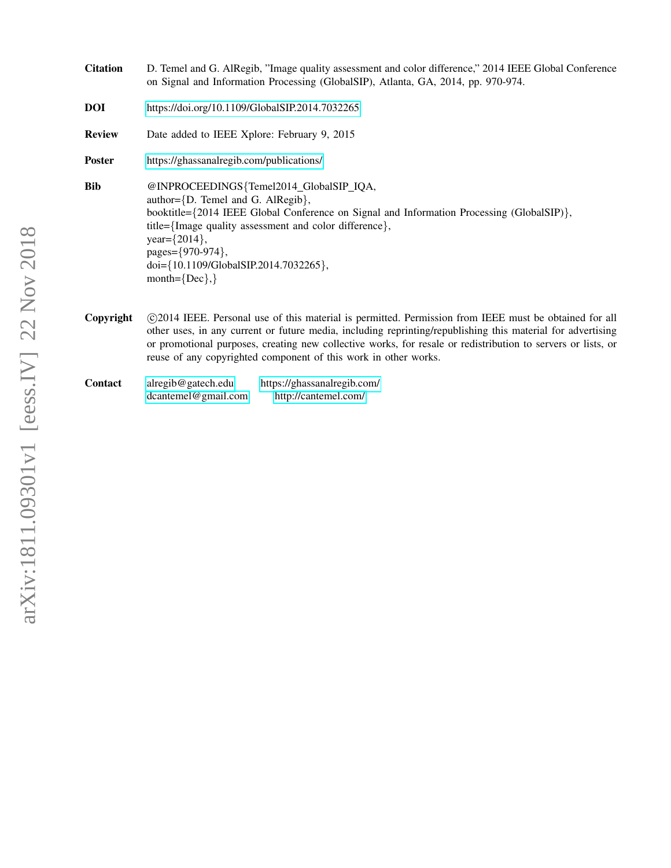| <b>Citation</b> | D. Temel and G. AlRegib, "Image quality assessment and color difference," 2014 IEEE Global Conference<br>on Signal and Information Processing (GlobalSIP), Atlanta, GA, 2014, pp. 970-974.                                                                                                                                                                                                              |
|-----------------|---------------------------------------------------------------------------------------------------------------------------------------------------------------------------------------------------------------------------------------------------------------------------------------------------------------------------------------------------------------------------------------------------------|
| <b>DOI</b>      | https://doi.org/10.1109/GlobalSIP.2014.7032265                                                                                                                                                                                                                                                                                                                                                          |
| <b>Review</b>   | Date added to IEEE Xplore: February 9, 2015                                                                                                                                                                                                                                                                                                                                                             |
| <b>Poster</b>   | https://ghassanalregib.com/publications/                                                                                                                                                                                                                                                                                                                                                                |
| <b>Bib</b>      | @INPROCEEDINGS{Temel2014_GlobalSIP_IQA,<br>author= $\{D$ . Temel and G. AlRegib $\}$ ,<br>booktitle={2014 IEEE Global Conference on Signal and Information Processing (GlobalSIP)},<br>title={Image quality assessment and color difference},<br>year= $\{2014\},\$<br>pages={970-974},<br>doi={10.1109/GlobalSIP.2014.7032265},<br>$month = \{Dec\},\}$                                                |
| Copyright       | ©2014 IEEE. Personal use of this material is permitted. Permission from IEEE must be obtained for all<br>other uses, in any current or future media, including reprinting/republishing this material for advertising<br>or promotional purposes, creating new collective works, for resale or redistribution to servers or lists, or<br>reuse of any copyrighted component of this work in other works. |
|                 | $\frac{1}{1}$ $\frac{1}{1}$ $\frac{1}{1}$ $\frac{1}{1}$ $\frac{1}{1}$ $\frac{1}{1}$ $\frac{1}{1}$ $\frac{1}{1}$ $\frac{1}{1}$ $\frac{1}{1}$                                                                                                                                                                                                                                                             |

| Contact | alregib@gatech.edu     | https://ghassanalregib.com/ |
|---------|------------------------|-----------------------------|
|         | $d$ cantemel@gmail.com | http://cantemel.com/        |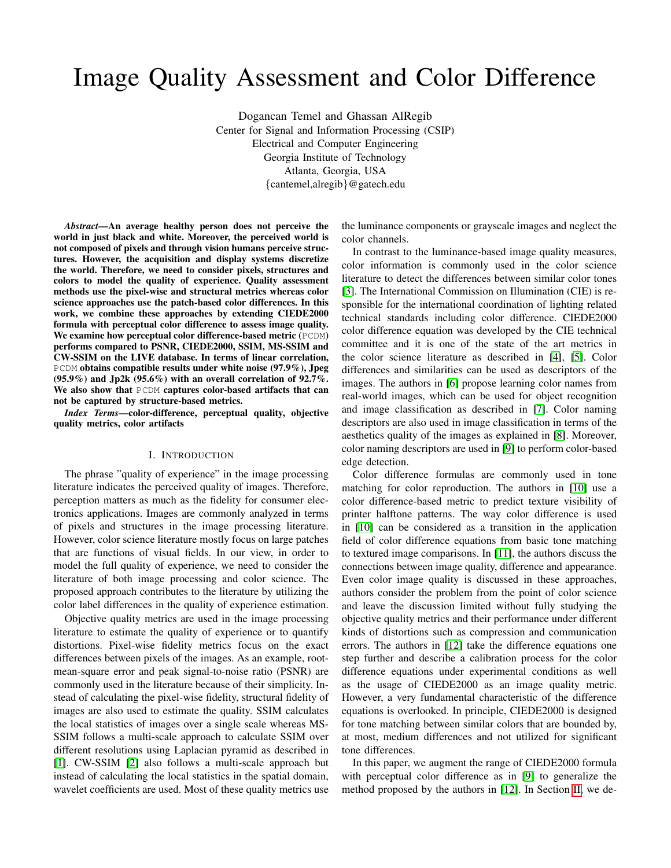# Image Quality Assessment and Color Difference

Dogancan Temel and Ghassan AlRegib Center for Signal and Information Processing (CSIP) Electrical and Computer Engineering Georgia Institute of Technology Atlanta, Georgia, USA {cantemel,alregib}@gatech.edu

*Abstract*—An average healthy person does not perceive the world in just black and white. Moreover, the perceived world is not composed of pixels and through vision humans perceive structures. However, the acquisition and display systems discretize the world. Therefore, we need to consider pixels, structures and colors to model the quality of experience. Quality assessment methods use the pixel-wise and structural metrics whereas color science approaches use the patch-based color differences. In this work, we combine these approaches by extending CIEDE2000 formula with perceptual color difference to assess image quality. We examine how perceptual color difference-based metric (PCDM) performs compared to PSNR, CIEDE2000, SSIM, MS-SSIM and CW-SSIM on the LIVE database. In terms of linear correlation, PCDM obtains compatible results under white noise (97.9%), Jpeg  $(95.9\%)$  and Jp2k  $(95.6\%)$  with an overall correlation of  $92.7\%$ . We also show that PCDM captures color-based artifacts that can not be captured by structure-based metrics.

*Index Terms*—color-difference, perceptual quality, objective quality metrics, color artifacts

## I. INTRODUCTION

<span id="page-1-0"></span>The phrase "quality of experience" in the image processing literature indicates the perceived quality of images. Therefore, perception matters as much as the fidelity for consumer electronics applications. Images are commonly analyzed in terms of pixels and structures in the image processing literature. However, color science literature mostly focus on large patches that are functions of visual fields. In our view, in order to model the full quality of experience, we need to consider the literature of both image processing and color science. The proposed approach contributes to the literature by utilizing the color label differences in the quality of experience estimation.

Objective quality metrics are used in the image processing literature to estimate the quality of experience or to quantify distortions. Pixel-wise fidelity metrics focus on the exact differences between pixels of the images. As an example, rootmean-square error and peak signal-to-noise ratio (PSNR) are commonly used in the literature because of their simplicity. Instead of calculating the pixel-wise fidelity, structural fidelity of images are also used to estimate the quality. SSIM calculates the local statistics of images over a single scale whereas MS-SSIM follows a multi-scale approach to calculate SSIM over different resolutions using Laplacian pyramid as described in [\[1\]](#page-5-0). CW-SSIM [\[2\]](#page-5-1) also follows a multi-scale approach but instead of calculating the local statistics in the spatial domain, wavelet coefficients are used. Most of these quality metrics use the luminance components or grayscale images and neglect the color channels.

In contrast to the luminance-based image quality measures, color information is commonly used in the color science literature to detect the differences between similar color tones [\[3\]](#page-5-2). The International Commission on Illumination (CIE) is responsible for the international coordination of lighting related technical standards including color difference. CIEDE2000 color difference equation was developed by the CIE technical committee and it is one of the state of the art metrics in the color science literature as described in [\[4\]](#page-5-3), [\[5\]](#page-5-4). Color differences and similarities can be used as descriptors of the images. The authors in [\[6\]](#page-5-5) propose learning color names from real-world images, which can be used for object recognition and image classification as described in [\[7\]](#page-5-6). Color naming descriptors are also used in image classification in terms of the aesthetics quality of the images as explained in [\[8\]](#page-5-7). Moreover, color naming descriptors are used in [\[9\]](#page-5-8) to perform color-based edge detection.

Color difference formulas are commonly used in tone matching for color reproduction. The authors in [\[10\]](#page-5-9) use a color difference-based metric to predict texture visibility of printer halftone patterns. The way color difference is used in [\[10\]](#page-5-9) can be considered as a transition in the application field of color difference equations from basic tone matching to textured image comparisons. In [\[11\]](#page-5-10), the authors discuss the connections between image quality, difference and appearance. Even color image quality is discussed in these approaches, authors consider the problem from the point of color science and leave the discussion limited without fully studying the objective quality metrics and their performance under different kinds of distortions such as compression and communication errors. The authors in [\[12\]](#page-5-11) take the difference equations one step further and describe a calibration process for the color difference equations under experimental conditions as well as the usage of CIEDE2000 as an image quality metric. However, a very fundamental characteristic of the difference equations is overlooked. In principle, CIEDE2000 is designed for tone matching between similar colors that are bounded by, at most, medium differences and not utilized for significant tone differences.

In this paper, we augment the range of CIEDE2000 formula with perceptual color difference as in [\[9\]](#page-5-8) to generalize the method proposed by the authors in [\[12\]](#page-5-11). In Section [II,](#page-2-0) we de-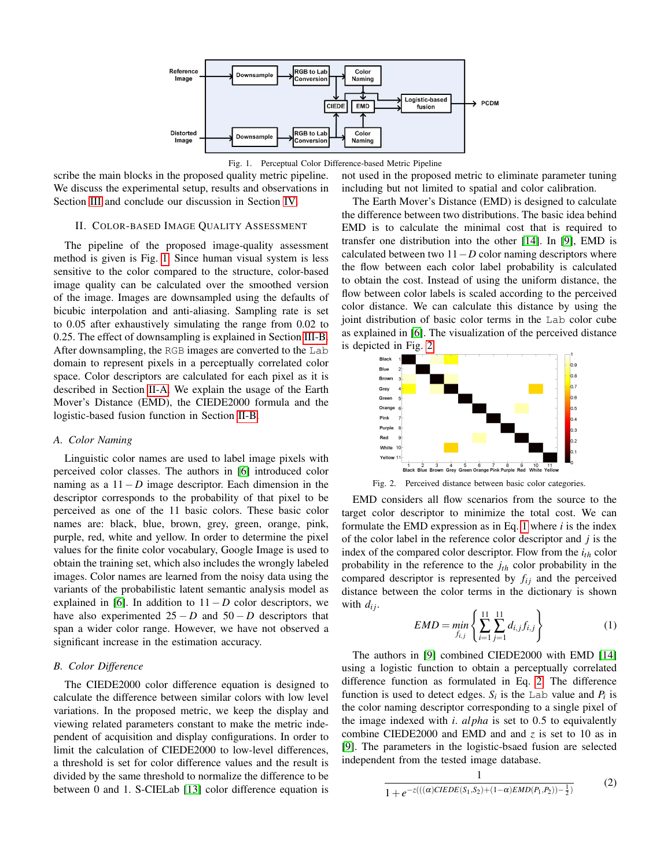

<span id="page-2-1"></span>

scribe the main blocks in the proposed quality metric pipeline. We discuss the experimental setup, results and observations in Section [III](#page-3-0) and conclude our discussion in Section [IV.](#page-4-0)

## <span id="page-2-0"></span>II. COLOR-BASED IMAGE QUALITY ASSESSMENT

The pipeline of the proposed image-quality assessment method is given is Fig. [1.](#page-2-1) Since human visual system is less sensitive to the color compared to the structure, color-based image quality can be calculated over the smoothed version of the image. Images are downsampled using the defaults of bicubic interpolation and anti-aliasing. Sampling rate is set to 0.05 after exhaustively simulating the range from 0.02 to 0.25. The effect of downsampling is explained in Section [III-B.](#page-3-1) After downsampling, the RGB images are converted to the Lab domain to represent pixels in a perceptually correlated color space. Color descriptors are calculated for each pixel as it is described in Section [II-A.](#page-2-2) We explain the usage of the Earth Mover's Distance (EMD), the CIEDE2000 formula and the logistic-based fusion function in Section [II-B.](#page-2-3)

# <span id="page-2-2"></span>*A. Color Naming*

Linguistic color names are used to label image pixels with perceived color classes. The authors in [\[6\]](#page-5-5) introduced color naming as a 11−*D* image descriptor. Each dimension in the descriptor corresponds to the probability of that pixel to be perceived as one of the 11 basic colors. These basic color names are: black, blue, brown, grey, green, orange, pink, purple, red, white and yellow. In order to determine the pixel values for the finite color vocabulary, Google Image is used to obtain the training set, which also includes the wrongly labeled images. Color names are learned from the noisy data using the variants of the probabilistic latent semantic analysis model as explained in [\[6\]](#page-5-5). In addition to  $11 - D$  color descriptors, we have also experimented  $25 - D$  and  $50 - D$  descriptors that span a wider color range. However, we have not observed a significant increase in the estimation accuracy.

## <span id="page-2-3"></span>*B. Color Difference*

The CIEDE2000 color difference equation is designed to calculate the difference between similar colors with low level variations. In the proposed metric, we keep the display and viewing related parameters constant to make the metric independent of acquisition and display configurations. In order to limit the calculation of CIEDE2000 to low-level differences, a threshold is set for color difference values and the result is divided by the same threshold to normalize the difference to be between 0 and 1. S-CIELab [\[13\]](#page-5-12) color difference equation is

not used in the proposed metric to eliminate parameter tuning including but not limited to spatial and color calibration.

The Earth Mover's Distance (EMD) is designed to calculate the difference between two distributions. The basic idea behind EMD is to calculate the minimal cost that is required to transfer one distribution into the other [\[14\]](#page-5-13). In [\[9\]](#page-5-8), EMD is calculated between two 11−*D* color naming descriptors where the flow between each color label probability is calculated to obtain the cost. Instead of using the uniform distance, the flow between color labels is scaled according to the perceived color distance. We can calculate this distance by using the joint distribution of basic color terms in the Lab color cube as explained in [\[6\]](#page-5-5). The visualization of the perceived distance is depicted in Fig. [2.](#page-2-4)



<span id="page-2-4"></span>Fig. 2. Perceived distance between basic color categories.

EMD considers all flow scenarios from the source to the target color descriptor to minimize the total cost. We can formulate the EMD expression as in Eq. [1](#page-2-5) where *i* is the index of the color label in the reference color descriptor and *j* is the index of the compared color descriptor. Flow from the *ith* color probability in the reference to the *jth* color probability in the compared descriptor is represented by  $f_{ij}$  and the perceived distance between the color terms in the dictionary is shown with  $d_{ij}$ .

<span id="page-2-5"></span>
$$
EMD = \min_{f_{i,j}} \left\{ \sum_{i=1}^{11} \sum_{j=1}^{11} d_{i,j} f_{i,j} \right\} \tag{1}
$$

The authors in [\[9\]](#page-5-8) combined CIEDE2000 with EMD [\[14\]](#page-5-13) using a logistic function to obtain a perceptually correlated difference function as formulated in Eq. [2.](#page-2-6) The difference function is used to detect edges.  $S_i$  is the Lab value and  $P_i$  is the color naming descriptor corresponding to a single pixel of the image indexed with *i*. *al pha* is set to 0.5 to equivalently combine CIEDE2000 and EMD and and *z* is set to 10 as in [\[9\]](#page-5-8). The parameters in the logistic-bsaed fusion are selected independent from the tested image database.

<span id="page-2-6"></span>
$$
\frac{1}{1 + e^{-z(((\alpha)CIEDE(S_1, S_2) + (1 - \alpha)EMD(P_1, P_2)) - \frac{1}{2})}}
$$
(2)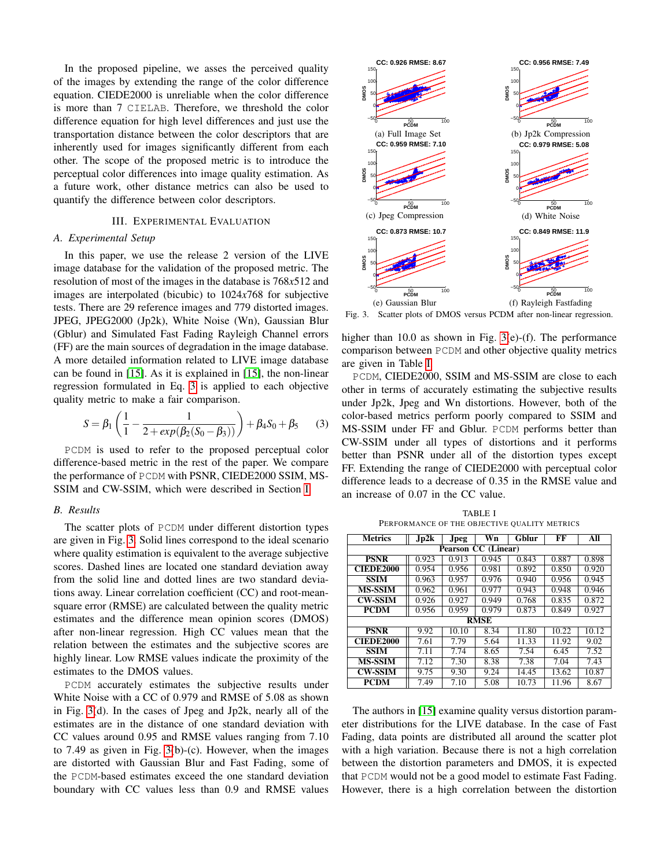In the proposed pipeline, we asses the perceived quality of the images by extending the range of the color difference equation. CIEDE2000 is unreliable when the color difference is more than 7 CIELAB. Therefore, we threshold the color difference equation for high level differences and just use the transportation distance between the color descriptors that are inherently used for images significantly different from each other. The scope of the proposed metric is to introduce the perceptual color differences into image quality estimation. As a future work, other distance metrics can also be used to quantify the difference between color descriptors.

### III. EXPERIMENTAL EVALUATION

#### <span id="page-3-0"></span>*A. Experimental Setup*

In this paper, we use the release 2 version of the LIVE image database for the validation of the proposed metric. The resolution of most of the images in the database is 768*x*512 and images are interpolated (bicubic) to 1024*x*768 for subjective tests. There are 29 reference images and 779 distorted images. JPEG, JPEG2000 (Jp2k), White Noise (Wn), Gaussian Blur (Gblur) and Simulated Fast Fading Rayleigh Channel errors (FF) are the main sources of degradation in the image database. A more detailed information related to LIVE image database can be found in [\[15\]](#page-5-14). As it is explained in [\[15\]](#page-5-14), the non-linear regression formulated in Eq. [3](#page-3-2) is applied to each objective quality metric to make a fair comparison.

<span id="page-3-2"></span>
$$
S = \beta_1 \left( \frac{1}{1} - \frac{1}{2 + exp(\beta_2 (S_0 - \beta_3))} \right) + \beta_4 S_0 + \beta_5 \tag{3}
$$

PCDM is used to refer to the proposed perceptual color difference-based metric in the rest of the paper. We compare the performance of PCDM with PSNR, CIEDE2000 SSIM, MS-SSIM and CW-SSIM, which were described in Section [I.](#page-1-0)

#### <span id="page-3-1"></span>*B. Results*

The scatter plots of PCDM under different distortion types are given in Fig. [3.](#page-3-3) Solid lines correspond to the ideal scenario where quality estimation is equivalent to the average subjective scores. Dashed lines are located one standard deviation away from the solid line and dotted lines are two standard deviations away. Linear correlation coefficient (CC) and root-meansquare error (RMSE) are calculated between the quality metric estimates and the difference mean opinion scores (DMOS) after non-linear regression. High CC values mean that the relation between the estimates and the subjective scores are highly linear. Low RMSE values indicate the proximity of the estimates to the DMOS values.

PCDM accurately estimates the subjective results under White Noise with a CC of 0.979 and RMSE of 5.08 as shown in Fig. [3\(](#page-3-3)d). In the cases of Jpeg and Jp2k, nearly all of the estimates are in the distance of one standard deviation with CC values around 0.95 and RMSE values ranging from 7.10 to 7.49 as given in Fig. [3\(](#page-3-3)b)-(c). However, when the images are distorted with Gaussian Blur and Fast Fading, some of the PCDM-based estimates exceed the one standard deviation boundary with CC values less than 0.9 and RMSE values



<span id="page-3-3"></span>Fig. 3. Scatter plots of DMOS versus PCDM after non-linear regression.

higher than 10.0 as shown in Fig. [3\(](#page-3-3)e)-(f). The performance comparison between PCDM and other objective quality metrics are given in Table [I.](#page-3-4)

PCDM, CIEDE2000, SSIM and MS-SSIM are close to each other in terms of accurately estimating the subjective results under Jp2k, Jpeg and Wn distortions. However, both of the color-based metrics perform poorly compared to SSIM and MS-SSIM under FF and Gblur. PCDM performs better than CW-SSIM under all types of distortions and it performs better than PSNR under all of the distortion types except FF. Extending the range of CIEDE2000 with perceptual color difference leads to a decrease of 0.35 in the RMSE value and an increase of 0.07 in the CC value.

TABLE I PERFORMANCE OF THE OBJECTIVE QUALITY METRICS

<span id="page-3-4"></span>

| <b>Metrics</b>                   | Jp2k  | Jpeg  | Ѿn    | Gblur | $\overline{\bf FF}$ | All   |
|----------------------------------|-------|-------|-------|-------|---------------------|-------|
| Pearson $\overline{CC}$ (Linear) |       |       |       |       |                     |       |
| <b>PSNR</b>                      | 0.923 | 0.913 | 0.945 | 0.843 | 0.887               | 0.898 |
| <b>CIEDE2000</b>                 | 0.954 | 0.956 | 0.981 | 0.892 | 0.850               | 0.920 |
| SSIM                             | 0.963 | 0.957 | 0.976 | 0.940 | 0.956               | 0.945 |
| <b>MS-SSIM</b>                   | 0.962 | 0.961 | 0.977 | 0.943 | 0.948               | 0.946 |
| <b>CW-SSIM</b>                   | 0.926 | 0.927 | 0.949 | 0.768 | 0.835               | 0.872 |
| <b>PCDM</b>                      | 0.956 | 0.959 | 0.979 | 0.873 | 0.849               | 0.927 |
| <b>RMSE</b>                      |       |       |       |       |                     |       |
| <b>PSNR</b>                      | 9.92  | 10.10 | 8.34  | 11.80 | 10.22               | 10.12 |
| <b>CIEDE2000</b>                 | 7.61  | 7.79  | 5.64  | 11.33 | 11.92               | 9.02  |
| <b>SSIM</b>                      | 7.11  | 7.74  | 8.65  | 7.54  | 6.45                | 7.52  |
| <b>MS-SSIM</b>                   | 7.12  | 7.30  | 8.38  | 7.38  | 7.04                | 7.43  |
| <b>CW-SSIM</b>                   | 9.75  | 9.30  | 9.24  | 14.45 | 13.62               | 10.87 |
| <b>PCDM</b>                      | 7.49  | 7.10  | 5.08  | 10.73 | 11.96               | 8.67  |

The authors in [\[15\]](#page-5-14) examine quality versus distortion parameter distributions for the LIVE database. In the case of Fast Fading, data points are distributed all around the scatter plot with a high variation. Because there is not a high correlation between the distortion parameters and DMOS, it is expected that PCDM would not be a good model to estimate Fast Fading. However, there is a high correlation between the distortion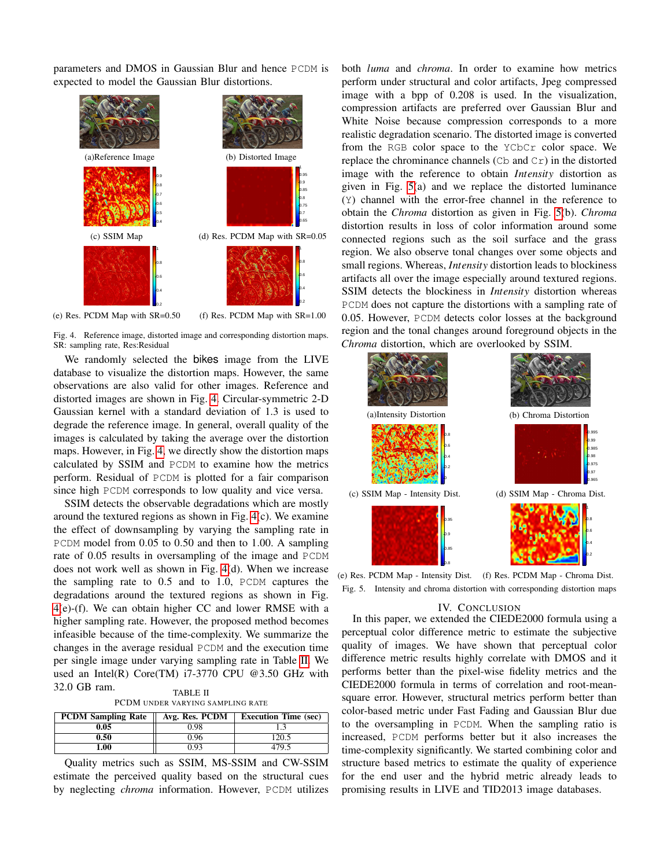parameters and DMOS in Gaussian Blur and hence PCDM is expected to model the Gaussian Blur distortions.





<span id="page-4-1"></span>Fig. 4. Reference image, distorted image and corresponding distortion maps. SR: sampling rate, Res:Residual

We randomly selected the bikes image from the LIVE database to visualize the distortion maps. However, the same observations are also valid for other images. Reference and distorted images are shown in Fig. [4.](#page-4-1) Circular-symmetric 2-D Gaussian kernel with a standard deviation of 1.3 is used to degrade the reference image. In general, overall quality of the images is calculated by taking the average over the distortion maps. However, in Fig. [4,](#page-4-1) we directly show the distortion maps calculated by SSIM and PCDM to examine how the metrics perform. Residual of PCDM is plotted for a fair comparison since high PCDM corresponds to low quality and vice versa.

SSIM detects the observable degradations which are mostly around the textured regions as shown in Fig. [4\(](#page-4-1)c). We examine the effect of downsampling by varying the sampling rate in PCDM model from 0.05 to 0.50 and then to 1.00. A sampling rate of 0.05 results in oversampling of the image and PCDM does not work well as shown in Fig. [4\(](#page-4-1)d). When we increase the sampling rate to 0.5 and to 1.0, PCDM captures the degradations around the textured regions as shown in Fig. [4\(](#page-4-1)e)-(f). We can obtain higher CC and lower RMSE with a higher sampling rate. However, the proposed method becomes infeasible because of the time-complexity. We summarize the changes in the average residual PCDM and the execution time per single image under varying sampling rate in Table [II.](#page-4-2) We used an Intel(R) Core(TM) i7-3770 CPU @3.50 GHz with  $32.0$  GB ram. TABLE II

|  |  | PCDM UNDER VARYING SAMPLING RATE |  |  |
|--|--|----------------------------------|--|--|

<span id="page-4-2"></span>

| <b>PCDM Sampling Rate</b> | Avg. Res. PCDM | <b>Execution Time (sec)</b> |
|---------------------------|----------------|-----------------------------|
| 0.05                      | 0.98           |                             |
| 0.50                      | 0.96           | 120.5                       |
| .00                       | 0.93           | 479.5                       |

Quality metrics such as SSIM, MS-SSIM and CW-SSIM estimate the perceived quality based on the structural cues by neglecting *chroma* information. However, PCDM utilizes both *luma* and *chroma*. In order to examine how metrics perform under structural and color artifacts, Jpeg compressed image with a bpp of 0.208 is used. In the visualization, compression artifacts are preferred over Gaussian Blur and White Noise because compression corresponds to a more realistic degradation scenario. The distorted image is converted from the RGB color space to the YCbCr color space. We replace the chrominance channels ( $Cb$  and  $Cr$ ) in the distorted image with the reference to obtain *Intensity* distortion as given in Fig. [5\(](#page-4-3)a) and we replace the distorted luminance (Y) channel with the error-free channel in the reference to obtain the *Chroma* distortion as given in Fig. [5\(](#page-4-3)b). *Chroma* distortion results in loss of color information around some connected regions such as the soil surface and the grass region. We also observe tonal changes over some objects and small regions. Whereas, *Intensity* distortion leads to blockiness artifacts all over the image especially around textured regions. SSIM detects the blockiness in *Intensity* distortion whereas PCDM does not capture the distortions with a sampling rate of 0.05. However, PCDM detects color losses at the background region and the tonal changes around foreground objects in the *Chroma* distortion, which are overlooked by SSIM.



<span id="page-4-3"></span>(e) Res. PCDM Map - Intensity Dist. (f) Res. PCDM Map - Chroma Dist. Fig. 5. Intensity and chroma distortion with corresponding distortion maps

## IV. CONCLUSION

<span id="page-4-0"></span>In this paper, we extended the CIEDE2000 formula using a perceptual color difference metric to estimate the subjective quality of images. We have shown that perceptual color difference metric results highly correlate with DMOS and it performs better than the pixel-wise fidelity metrics and the CIEDE2000 formula in terms of correlation and root-meansquare error. However, structural metrics perform better than color-based metric under Fast Fading and Gaussian Blur due to the oversampling in PCDM. When the sampling ratio is increased, PCDM performs better but it also increases the time-complexity significantly. We started combining color and structure based metrics to estimate the quality of experience for the end user and the hybrid metric already leads to promising results in LIVE and TID2013 image databases.